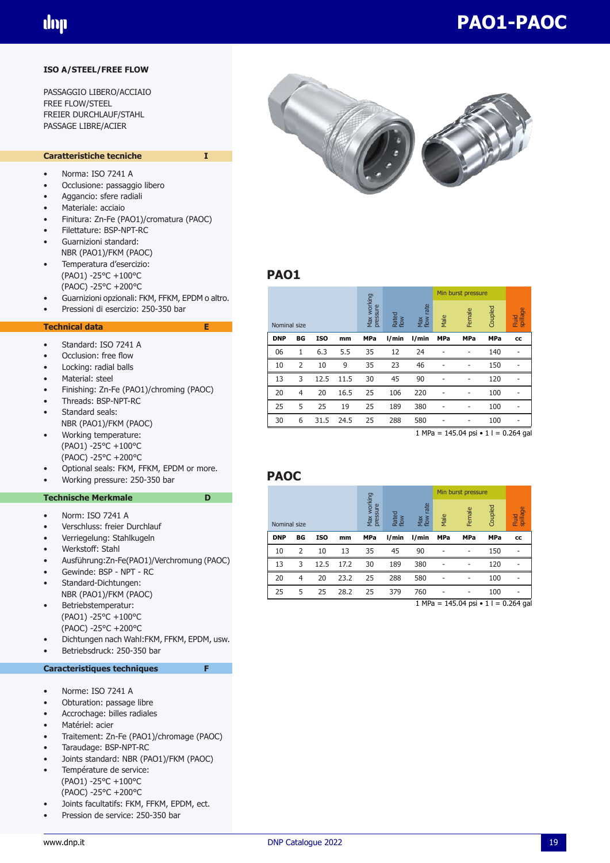#### **ISO A/STEEL/FREE FLOW**

PASSAGGIO LIBERO/ACCIAIO FREE FLOW/STEEL FREIER DURCHLAUF/STAHL PASSAGE LIBRE/ACIER

#### **Caratteristiche tecniche I**

- Norma: ISO 7241 A
- Occlusione: passaggio libero
- Aggancio: sfere radiali
- Materiale: acciaio
- Finitura: Zn-Fe (PAO1)/cromatura (PAOC)
- Filettature: BSP-NPT-RC • Guarnizioni standard:
- NBR (PAO1)/FKM (PAOC) • Temperatura d'esercizio:
- (PAO1) -25°C +100°C (PAOC) -25°C +200°C
- Guarnizioni opzionali: FKM, FFKM, EPDM o altro.
- Pressioni di esercizio: 250-350 bar

#### **Technical data E**

- Standard: ISO 7241 A
- Occlusion: free flow
- Locking: radial balls
- Material: steel
- Finishing: Zn-Fe (PAO1)/chroming (PAOC)
- Threads: BSP-NPT-RC Standard seals:
- NBR (PAO1)/FKM (PAOC)
- Working temperature: (PAO1) -25°C +100°C (PAOC) -25°C +200°C
- Optional seals: FKM, FFKM, EPDM or more.
- Working pressure: 250-350 bar

#### **Technische Merkmale** D

- Norm: ISO 7241 A
- Verschluss: freier Durchlauf
- Verriegelung: Stahlkugeln
- Werkstoff: Stahl
- Ausführung:Zn-Fe(PAO1)/Verchromung (PAOC)
- Gewinde: BSP NPT RC
- Standard-Dichtungen:
- NBR (PAO1)/FKM (PAOC)
- Betriebstemperatur: (PAO1) -25°C +100°C (PAOC) -25°C +200°C
- Dichtungen nach Wahl:FKM, FFKM, EPDM, usw.
- Betriebsdruck: 250-350 bar

#### **Caracteristiques techniques**

- Norme: ISO 7241 A
- Obturation: passage libre
- Accrochage: billes radiales
- Matériel: acier
- Traitement: Zn-Fe (PAO1)/chromage (PAOC)
- Taraudage: BSP-NPT-RC
- Joints standard: NBR (PAO1)/FKM (PAOC)
- Température de service: (PAO1) -25°C +100°C (PAOC) -25°C +200°C
- Joints facultatifs: FKM, FFKM, EPDM, ect.
- Pression de service: 250-350 bar



# **PAO1**

|            |                |            |      |                         |               |                     |            | Min burst pressure       |            |                   |
|------------|----------------|------------|------|-------------------------|---------------|---------------------|------------|--------------------------|------------|-------------------|
|            | Nominal size   |            |      | Max working<br>pressure | Rated<br>flow | rate<br>Max<br>flow | Male       | Female                   | Coupled    | spillage<br>Fluid |
| <b>DNP</b> | BG             | <b>ISO</b> | mm   | <b>MPa</b>              | l/min         | l/min               | <b>MPa</b> | <b>MPa</b>               | <b>MPa</b> | cc                |
| 06         | 1              | 6.3        | 5.5  | 35                      | 12            | 24                  |            | ۰                        | 140        |                   |
| 10         | $\overline{2}$ | 10         | 9    | 35                      | 23            | 46                  |            |                          | 150        |                   |
| 13         | 3              | 12.5       | 11.5 | 30                      | 45            | 90                  | ٠          | ۰                        | 120        |                   |
| 20         | 4              | 20         | 16.5 | 25                      | 106           | 220                 |            | $\overline{\phantom{0}}$ | 100        |                   |
| 25         | 5              | 25<br>19   | 25   | 189                     | 380           | ۰                   | ۰          | 100                      |            |                   |
| 30         | 6              | 31.5       | 24.5 | 25                      | 288           | 580                 | ٠          | ۰                        | 100        |                   |

1 MPa =  $145.04$  psi  $\cdot$  1 l = 0.264 gal

#### **PAOC**

|              |    |                                         |               |                     |       |        |            | Min burst pressure |            |    |
|--------------|----|-----------------------------------------|---------------|---------------------|-------|--------|------------|--------------------|------------|----|
| Nominal size |    | working<br>pressure<br>Max <sup>1</sup> | Rated<br>flow | rate<br>Max<br>flow | Male  | Female | Coupled    | spillage<br>Fluid  |            |    |
| <b>DNP</b>   | BG | <b>ISO</b>                              | mm            | <b>MPa</b>          | l/min | l/min  | <b>MPa</b> | <b>MPa</b>         | <b>MPa</b> | cc |
| 10           | 2  | 10                                      | 13            | 35                  | 45    | 90     |            |                    | 150        |    |
| 13           | 3  | 12.5                                    | 17.2          | 30                  | 189   | 380    |            |                    | 120        |    |
| 20           | 4  | 20                                      | 23.2          | 25                  | 288   | 580    |            |                    | 100        |    |
| 25           | 5  | 25                                      | 28.2          | 25                  | 379   | 760    | ۰          | -                  | 100        |    |

 $1 \text{ MPa} = 145.04 \text{ psi} \cdot 11 = 0.264 \text{ gal}$ 

# **PAO1-PAOC**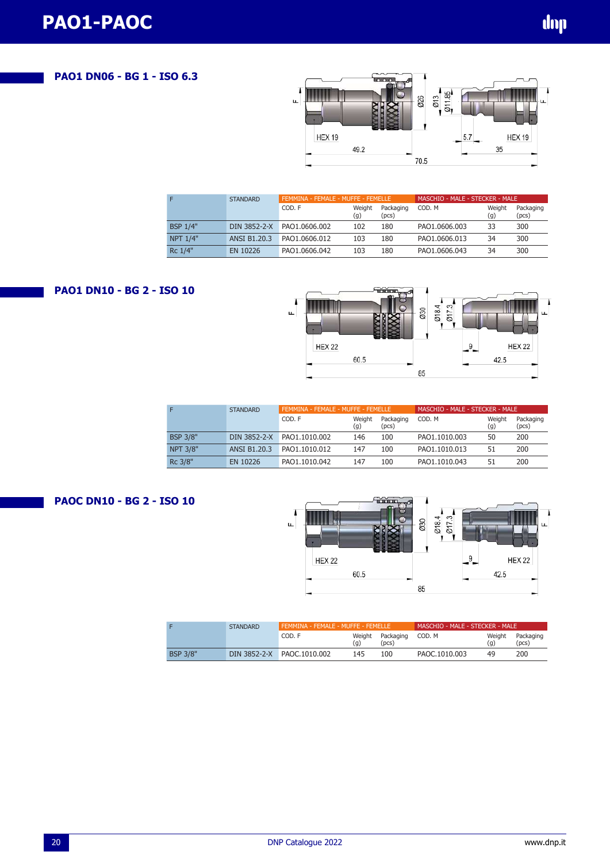## **PAO1 DN06 - BG 1 - ISO 6.3**



| F               | <b>STANDARD</b>     |               | FEMMINA - FEMALE - MUFFE - FEMELLE |                    |               | MASCHIO - MALE - STECKER - MALE |                    |  |  |
|-----------------|---------------------|---------------|------------------------------------|--------------------|---------------|---------------------------------|--------------------|--|--|
|                 |                     | COD. F        | Weight<br>(g)                      | Packaging<br>(pcs) | COD. M        | Weight<br>(g)                   | Packaging<br>(pcs) |  |  |
| <b>BSP 1/4"</b> | DIN 3852-2-X        | PAO1.0606.002 | 102                                | 180                | PAO1.0606.003 | 33                              | 300                |  |  |
| <b>NPT 1/4"</b> | <b>ANSI B1.20.3</b> | PAO1.0606.012 | 103                                | 180                | PAO1.0606.013 | 34                              | 300                |  |  |
| Rc 1/4"         | EN 10226            | PAO1.0606.042 | 103                                | 180                | PAO1.0606.043 | 34                              | 300                |  |  |

## **PAO1 DN10 - BG 2 - ISO 10**



| F               | <b>STANDARD</b>     | FEMMINA - FEMALE - MUFFE - FEMELLE |               |                    | MASCHIO - MALE - STECKER - MALE |               |                    |
|-----------------|---------------------|------------------------------------|---------------|--------------------|---------------------------------|---------------|--------------------|
|                 |                     | COD. F                             | Weight<br>(g) | Packaging<br>(pcs) | COD. M                          | Weight<br>(g) | Packaging<br>(pcs) |
| <b>BSP 3/8"</b> | DIN 3852-2-X        | PAO1.1010.002                      | 146           | 100                | PAO1.1010.003                   | 50            | 200                |
| <b>NPT 3/8"</b> | <b>ANSI B1.20.3</b> | PAO1.1010.012                      | 147           | 100                | PAO1.1010.013                   | 51            | 200                |
| Rc 3/8"         | EN 10226            | PAO1.1010.042                      | 147           | 100                | PAO1.1010.043                   | 51            | 200                |





|                 | <b>STANDARD</b> | FEMMINA - FEMALE - MUFFE - FEMELLE |               |                    | MASCHIO - MALE - STECKER - MALE |               |                    |  |
|-----------------|-----------------|------------------------------------|---------------|--------------------|---------------------------------|---------------|--------------------|--|
|                 |                 | COD. F                             | Weight<br>(g) | Packaging<br>(pcs) | COD. M                          | Weight<br>(q) | Packaging<br>(pcs) |  |
| <b>BSP 3/8"</b> | DIN 3852-2-X    | PAOC.1010.002                      | 145           | 100                | PAOC.1010.003                   | 49            | 200                |  |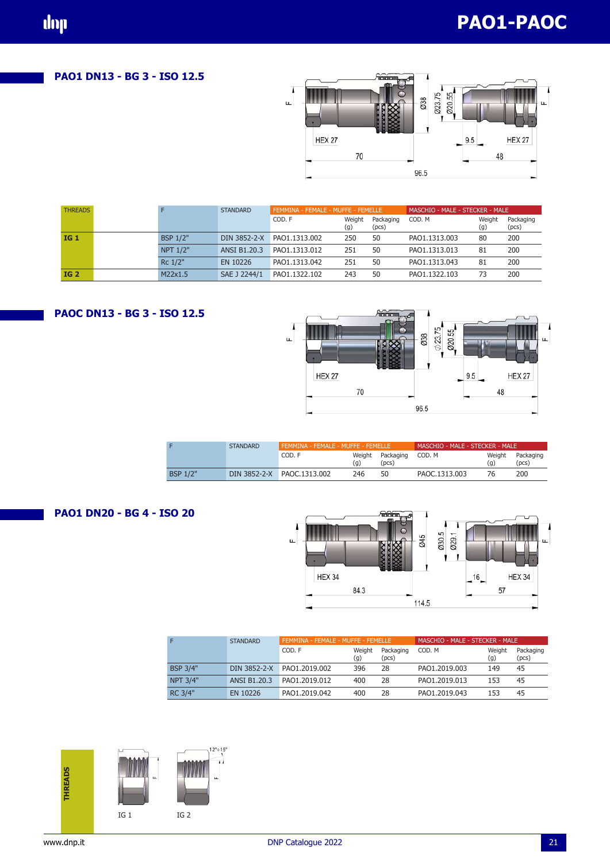**PAO1 DN13 - BG 3 - ISO 12.5**



| <b>THREADS</b>  |                 | <b>STANDARD</b> | FEMMINA - FEMALE - MUFFE - FEMELLE |               |                    | MASCHIO - MALE - STECKER - MALE |               |                    |
|-----------------|-----------------|-----------------|------------------------------------|---------------|--------------------|---------------------------------|---------------|--------------------|
|                 |                 |                 | COD. F                             | Weight<br>(g) | Packaging<br>(pcs) | COD, M                          | Weight<br>(g) | Packaging<br>(pcs) |
| IG <sub>1</sub> | <b>BSP 1/2"</b> |                 | DIN 3852-2-X PAO1.1313.002         | 250           | 50                 | PAO1.1313.003                   | 80            | 200                |
|                 | <b>NPT 1/2"</b> | ANSI B1.20.3    | PAO1.1313.012                      | 251           | 50                 | PAO1.1313.013                   | 81            | 200                |
|                 | Rc 1/2"         | EN 10226        | PAO1.1313.042                      | 251           | 50                 | PAO1.1313.043                   | 81            | 200                |
| <b>IG 2</b>     | M22x1.5         | SAE J 2244/1    | PAO1.1322.102                      | 243           | 50                 | PAO1.1322.103                   | 73            | 200                |

# **PAOC DN13 - BG 3 - ISO 12.5**



|                 | <b>STANDARD</b> | FEMMINA - FEMALE - MUFFE - FEMELLE |               |                    | MASCHIO - MALE - STECKER - MALE |               |                    |  |
|-----------------|-----------------|------------------------------------|---------------|--------------------|---------------------------------|---------------|--------------------|--|
|                 |                 | COD. F                             | Weight<br>(g) | Packaging<br>(pcs) | COD, M                          | Weight<br>(g) | Packaging<br>(pcs) |  |
| <b>BSP 1/2"</b> | DIN 3852-2-X    | PAOC.1313.002                      | 246           | 50                 | PAOC.1313.003                   | 76            | 200                |  |

#### **PAO1 DN20 - BG 4 - ISO 20**



|                 | <b>STANDARD</b> | FEMMINA - FEMALE - MUFFE - FEMELLE |               |                    | MASCHIO - MALE - STECKER - MALE |               |                    |  |
|-----------------|-----------------|------------------------------------|---------------|--------------------|---------------------------------|---------------|--------------------|--|
|                 |                 | COD. F                             | Weight<br>(g) | Packaging<br>(pcs) | COD. M                          | Weight<br>(g) | Packaging<br>(pcs) |  |
| <b>BSP 3/4"</b> |                 | DIN 3852-2-X PAO1.2019.002         | 396           | 28                 | PAO1.2019.003                   | 149           | 45                 |  |
| NPT 3/4"        | ANSI B1.20.3    | PAO1.2019.012                      | 400           | 28                 | PAO1.2019.013                   | 153           | 45                 |  |
| RC 3/4"         | EN 10226        | PAO1.2019.042                      | 400           | 28                 | PAO1.2019.043                   | 153           | 45                 |  |

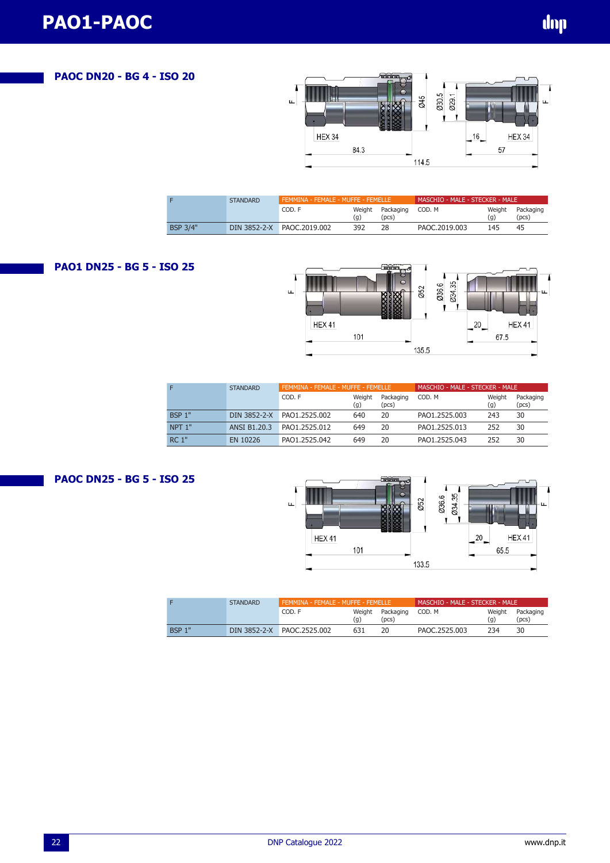# **PAOC DN20 - BG 4 - ISO 20**



|                 | <b>STANDARD</b> | FEMMINA - FEMALE - MUFFE - FEMELLE |               |                          | MASCHIO - MALE - STECKER - MALE |               |                    |
|-----------------|-----------------|------------------------------------|---------------|--------------------------|---------------------------------|---------------|--------------------|
|                 |                 | COD. F                             | Weight<br>(g) | Packaging<br>$'$ pcs $)$ | COD. M                          | Weight<br>(a) | Packaging<br>(pcs) |
| <b>BSP 3/4"</b> |                 | DIN 3852-2-X PAOC.2019.002         | 392           | 28                       | PAOC.2019.003                   | 145           | 45                 |

## **PAO1 DN25 - BG 5 - ISO 25**



|                   | <b>STANDARD</b>     | FEMMINA - FEMALE - MUFFE - FEMELLE |               |                    | MASCHIO - MALE - STECKER - MALE |               |                    |
|-------------------|---------------------|------------------------------------|---------------|--------------------|---------------------------------|---------------|--------------------|
|                   |                     | COD. F                             | Weight<br>(g) | Packaging<br>(pcs) | COD. M                          | Weight<br>(g) | Packaging<br>(pcs) |
| <b>BSP 1"</b>     | DIN 3852-2-X        | PAO1.2525.002                      | 640           | 20                 | PAO1.2525.003                   | 243           | 30                 |
| NPT <sub>1"</sub> | <b>ANSI B1.20.3</b> | PAO1.2525.012                      | 649           | 20                 | PAO1.2525.013                   | 252           | 30                 |
| <b>RC 1"</b>      | EN 10226            | PAO1.2525.042                      | 649           | 20                 | PAO1.2525.043                   | 252           | 30                 |

## **PAOC DN25 - BG 5 - ISO 25**



|               | <b>STANDARD</b> | FEMMINA - FEMALE - MUFFE - FEMELLE |        | MASCHIO - MALE - STECKER - MALE |               |               |                    |
|---------------|-----------------|------------------------------------|--------|---------------------------------|---------------|---------------|--------------------|
|               |                 | COD. F                             | Weight | Packaging<br>(pcs)              | COD.M         | Weight<br>(q) | Packaging<br>(pcs) |
| <b>BSP 1"</b> |                 | DIN 3852-2-X PAOC.2525.002         | 631    |                                 | PAOC.2525.003 | 234           | 30                 |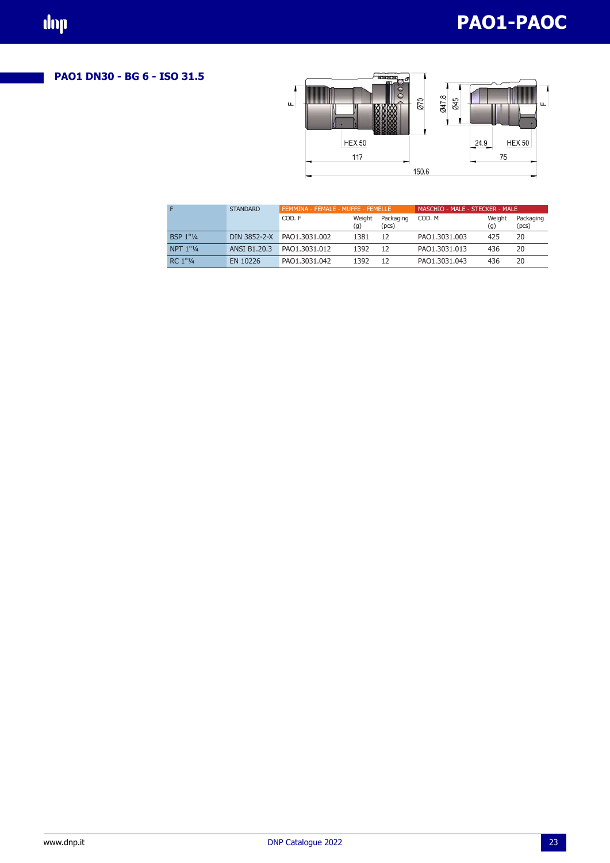# **PAO1-PAOC**

# **PAO1 DN30 - BG 6 - ISO 31.5**



|                  | <b>STANDARD</b>     | FEMMINA - FEMALE - MUFFE - FEMELLE |               |                    | MASCHIO - MALE - STECKER - MALE |               |                    |
|------------------|---------------------|------------------------------------|---------------|--------------------|---------------------------------|---------------|--------------------|
|                  |                     | COD. F                             | Weight<br>(g) | Packaging<br>(pcs) | COD. M                          | Weight<br>(g) | Packaging<br>(pcs) |
| <b>BSP 1"1/4</b> | DIN 3852-2-X        | PAO1.3031.002                      | 1381          | 12                 | PAO1.3031.003                   | 425           | 20                 |
| NPT 1"1/4        | <b>ANSI B1.20.3</b> | PAO1.3031.012                      | 1392          | 12                 | PAO1.3031.013                   | 436           | 20                 |
| RC 1"1/4         | EN 10226            | PAO1.3031.042                      | 1392          | 12                 | PAO1.3031.043                   | 436           | 20                 |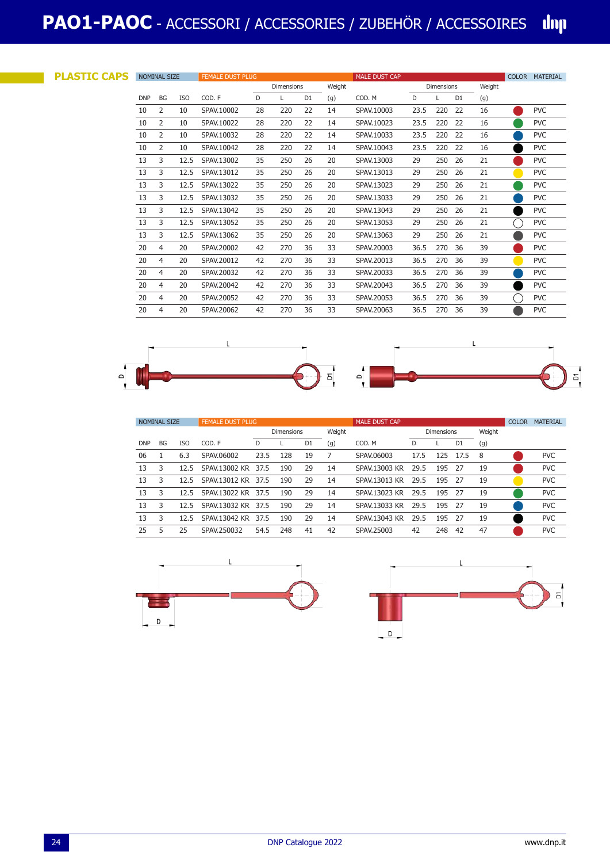| <b>PLASTIC CAPS</b> |            | <b>NOMINAL SIZE</b> |            | <b>FEMALE DUST PLUG</b> | <b>MALE DUST CAP</b> |                   |                |        |            |                   | COLOR MATERIAL |                |        |  |            |
|---------------------|------------|---------------------|------------|-------------------------|----------------------|-------------------|----------------|--------|------------|-------------------|----------------|----------------|--------|--|------------|
|                     |            |                     |            |                         |                      | <b>Dimensions</b> |                | Weight |            | <b>Dimensions</b> |                |                | Weight |  |            |
|                     | <b>DNP</b> | BG                  | <b>ISO</b> | COD. F                  | D                    | L                 | D <sub>1</sub> | (g)    | COD, M     | D                 |                | D <sub>1</sub> | (g)    |  |            |
|                     | 10         | 2                   | 10         | SPAV.10002              | 28                   | 220               | 22             | 14     | SPAV.10003 | 23.5              | 220            | 22             | 16     |  | <b>PVC</b> |
|                     | 10         | 2                   | 10         | SPAV.10022              | 28                   | 220               | 22             | 14     | SPAV.10023 | 23.5              | 220            | 22             | 16     |  | <b>PVC</b> |
|                     | 10         | 2                   | 10         | SPAV.10032              | 28                   | 220               | 22             | 14     | SPAV.10033 | 23.5              | 220            | 22             | 16     |  | <b>PVC</b> |
|                     | 10         | 2                   | 10         | SPAV.10042              | 28                   | 220               | 22             | 14     | SPAV.10043 | 23.5              | 220            | 22             | 16     |  | <b>PVC</b> |
|                     | 13         | 3                   | 12.5       | SPAV.13002              | 35                   | 250               | 26             | 20     | SPAV.13003 | 29                | 250            | 26             | 21     |  | <b>PVC</b> |
|                     | 13         | 3                   | 12.5       | SPAV.13012              | 35                   | 250               | 26             | 20     | SPAV.13013 | 29                | 250            | 26             | 21     |  | <b>PVC</b> |
|                     | 13         | 3                   | 12.5       | SPAV.13022              | 35                   | 250               | 26             | 20     | SPAV.13023 | 29                | 250            | 26             | 21     |  | <b>PVC</b> |
|                     | 13         | 3                   | 12.5       | SPAV.13032              | 35                   | 250               | 26             | 20     | SPAV.13033 | 29                | 250            | 26             | 21     |  | <b>PVC</b> |
|                     | 13         | 3                   | 12.5       | SPAV.13042              | 35                   | 250               | 26             | 20     | SPAV.13043 | 29                | 250            | 26             | 21     |  | <b>PVC</b> |
|                     | 13         | 3                   | 12.5       | SPAV.13052              | 35                   | 250               | 26             | 20     | SPAV.13053 | 29                | 250            | -26            | 21     |  | <b>PVC</b> |
|                     | 13         | 3                   | 12.5       | SPAV.13062              | 35                   | 250               | 26             | 20     | SPAV.13063 | 29                | 250            | 26             | 21     |  | <b>PVC</b> |
|                     | 20         | 4                   | 20         | SPAV.20002              | 42                   | 270               | 36             | 33     | SPAV.20003 | 36.5              | 270            | 36             | 39     |  | <b>PVC</b> |
|                     | 20         | 4                   | 20         | SPAV.20012              | 42                   | 270               | 36             | 33     | SPAV.20013 | 36.5              | 270            | 36             | 39     |  | <b>PVC</b> |
|                     | 20         | 4                   | 20         | SPAV.20032              | 42                   | 270               | 36             | 33     | SPAV.20033 | 36.5              | 270            | 36             | 39     |  | <b>PVC</b> |
|                     | 20         | 4                   | 20         | SPAV.20042              | 42                   | 270               | 36             | 33     | SPAV.20043 | 36.5              | 270            | 36             | 39     |  | <b>PVC</b> |
|                     | 20         | 4                   | 20         | SPAV.20052              | 42                   | 270               | 36             | 33     | SPAV.20053 | 36.5              | 270            | 36             | 39     |  | <b>PVC</b> |
|                     | 20         | 4                   | 20         | SPAV.20062              | 42                   | 270               | 36             | 33     | SPAV.20063 | 36.5              | 270            | 36             | 39     |  | <b>PVC</b> |



|            | <b>NOMINAL SIZE</b> |            | <b>FEMALE DUST PLUG</b> |                   |     |                |        | <b>MALE DUST CAP</b> |      |                   |                |        | <b>COLOR</b> | <b>MATERIAL</b> |
|------------|---------------------|------------|-------------------------|-------------------|-----|----------------|--------|----------------------|------|-------------------|----------------|--------|--------------|-----------------|
|            |                     |            |                         | <b>Dimensions</b> |     |                | Weight |                      |      | <b>Dimensions</b> |                | Weight |              |                 |
| <b>DNP</b> | <b>BG</b>           | <b>ISO</b> | COD. F                  | D                 |     | D <sub>1</sub> | (g)    | COD, M               | D    |                   | D <sub>1</sub> | (g)    |              |                 |
| 06         |                     | 6.3        | SPAV.06002              | 23.5              | 128 | 19             |        | SPAV.06003           | 17.5 | 125               | 17.5           | -8     |              | <b>PVC</b>      |
| 13         | 3                   | 12.5       | SPAV.13002 KR           | 37.5              | 190 | 29             | 14     | SPAV.13003 KR        | 29.5 | 195               | -27            | 19     |              | <b>PVC</b>      |
| 13         |                     | 12.5       | SPAV.13012 KR           | 37.5              | 190 | 29             | 14     | SPAV.13013 KR        | 29.5 | 195               | - 27           | 19     |              | <b>PVC</b>      |
| 13         | 3                   | 12.5       | SPAV. 13022 KR          | 37.5              | 190 | 29             | 14     | SPAV.13023 KR        | 29.5 | 195               | - 27           | 19     |              | <b>PVC</b>      |
| 13         | 3                   | 12.5       | SPAV.13032 KR           | 37.5              | 190 | 29             | 14     | SPAV.13033 KR        | 29.5 | 195               | - 27           | 19     |              | <b>PVC</b>      |
| 13         | 3                   | 12.5       | SPAV.13042 KR           | 37.5              | 190 | 29             | 14     | SPAV.13043 KR        | 29.5 | 195 27            |                | 19     |              | <b>PVC</b>      |
| 25         | 5                   | 25         | SPAV.250032             | 54.5              | 248 | 41             | 42     | SPAV.25003           | 42   | 248               | 42             | 47     |              | <b>PVC</b>      |